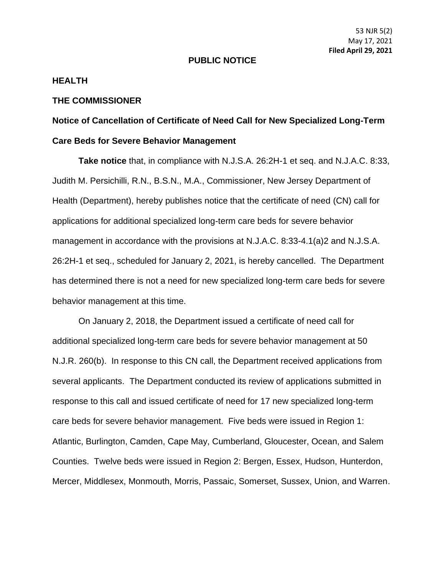## **PUBLIC NOTICE**

## **HEALTH**

## **THE COMMISSIONER**

## **Notice of Cancellation of Certificate of Need Call for New Specialized Long-Term Care Beds for Severe Behavior Management**

**Take notice** that, in compliance with N.J.S.A. 26:2H-1 et seq. and N.J.A.C. 8:33, Judith M. Persichilli, R.N., B.S.N., M.A., Commissioner, New Jersey Department of Health (Department), hereby publishes notice that the certificate of need (CN) call for applications for additional specialized long-term care beds for severe behavior management in accordance with the provisions at N.J.A.C. 8:33-4.1(a)2 and N.J.S.A. 26:2H-1 et seq., scheduled for January 2, 2021, is hereby cancelled. The Department has determined there is not a need for new specialized long-term care beds for severe behavior management at this time.

On January 2, 2018, the Department issued a certificate of need call for additional specialized long-term care beds for severe behavior management at 50 N.J.R. 260(b). In response to this CN call, the Department received applications from several applicants. The Department conducted its review of applications submitted in response to this call and issued certificate of need for 17 new specialized long-term care beds for severe behavior management. Five beds were issued in Region 1: Atlantic, Burlington, Camden, Cape May, Cumberland, Gloucester, Ocean, and Salem Counties. Twelve beds were issued in Region 2: Bergen, Essex, Hudson, Hunterdon, Mercer, Middlesex, Monmouth, Morris, Passaic, Somerset, Sussex, Union, and Warren.